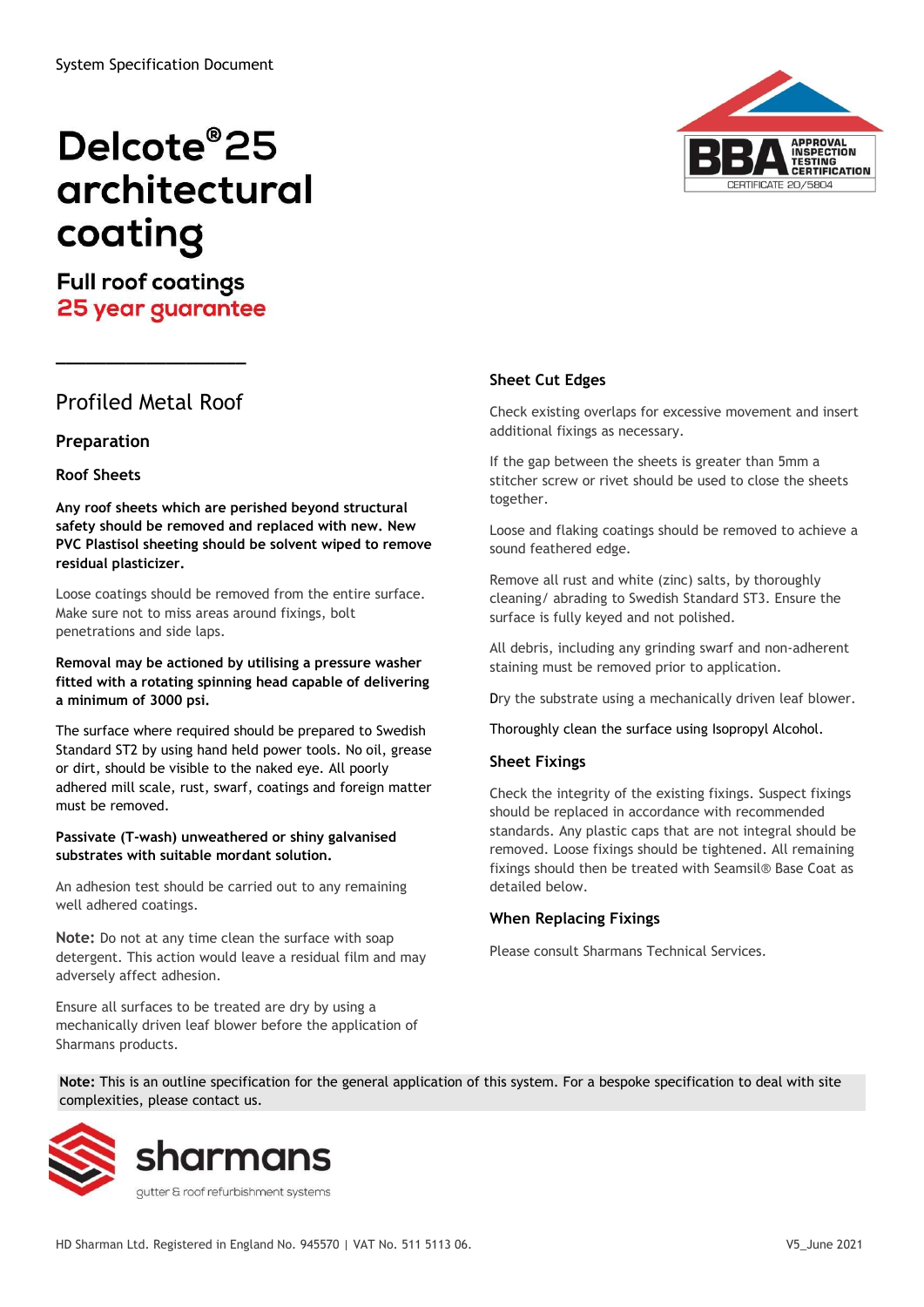# Delcote®25 architectural coating

# **Full roof coatings** 25 year guarantee

# Profiled Metal Roof

 $\overline{\phantom{a}}$  . The contract of the contract of the contract of the contract of the contract of the contract of the contract of the contract of the contract of the contract of the contract of the contract of the contract of

## Preparation

### Roof Sheets

Any roof sheets which are perished beyond structural safety should be removed and replaced with new. New PVC Plastisol sheeting should be solvent wiped to remove residual plasticizer.

Loose coatings should be removed from the entire surface. Make sure not to miss areas around fixings, bolt penetrations and side laps.

#### Removal may be actioned by utilising a pressure washer fitted with a rotating spinning head capable of delivering a minimum of 3000 psi.

The surface where required should be prepared to Swedish Standard ST2 by using hand held power tools. No oil, grease or dirt, should be visible to the naked eye. All poorly adhered mill scale, rust, swarf, coatings and foreign matter must be removed.

#### Passivate (T-wash) unweathered or shiny galvanised substrates with suitable mordant solution.

An adhesion test should be carried out to any remaining well adhered coatings.

Note: Do not at any time clean the surface with soap detergent. This action would leave a residual film and may adversely affect adhesion.

Ensure all surfaces to be treated are dry by using a mechanically driven leaf blower before the application of Sharmans products.



## Sheet Cut Edges

Check existing overlaps for excessive movement and insert additional fixings as necessary.

If the gap between the sheets is greater than 5mm a stitcher screw or rivet should be used to close the sheets together.

Loose and flaking coatings should be removed to achieve a sound feathered edge.

Remove all rust and white (zinc) salts, by thoroughly cleaning/ abrading to Swedish Standard ST3. Ensure the surface is fully keyed and not polished.

All debris, including any grinding swarf and non-adherent staining must be removed prior to application.

Dry the substrate using a mechanically driven leaf blower.

Thoroughly clean the surface using Isopropyl Alcohol.

#### Sheet Fixings

Check the integrity of the existing fixings. Suspect fixings should be replaced in accordance with recommended standards. Any plastic caps that are not integral should be removed. Loose fixings should be tightened. All remaining fixings should then be treated with Seamsil® Base Coat as detailed below.

#### When Replacing Fixings

Please consult Sharmans Technical Services.

Note: This is an outline specification for the general application of this system. For a bespoke specification to deal with site complexities, please contact us.

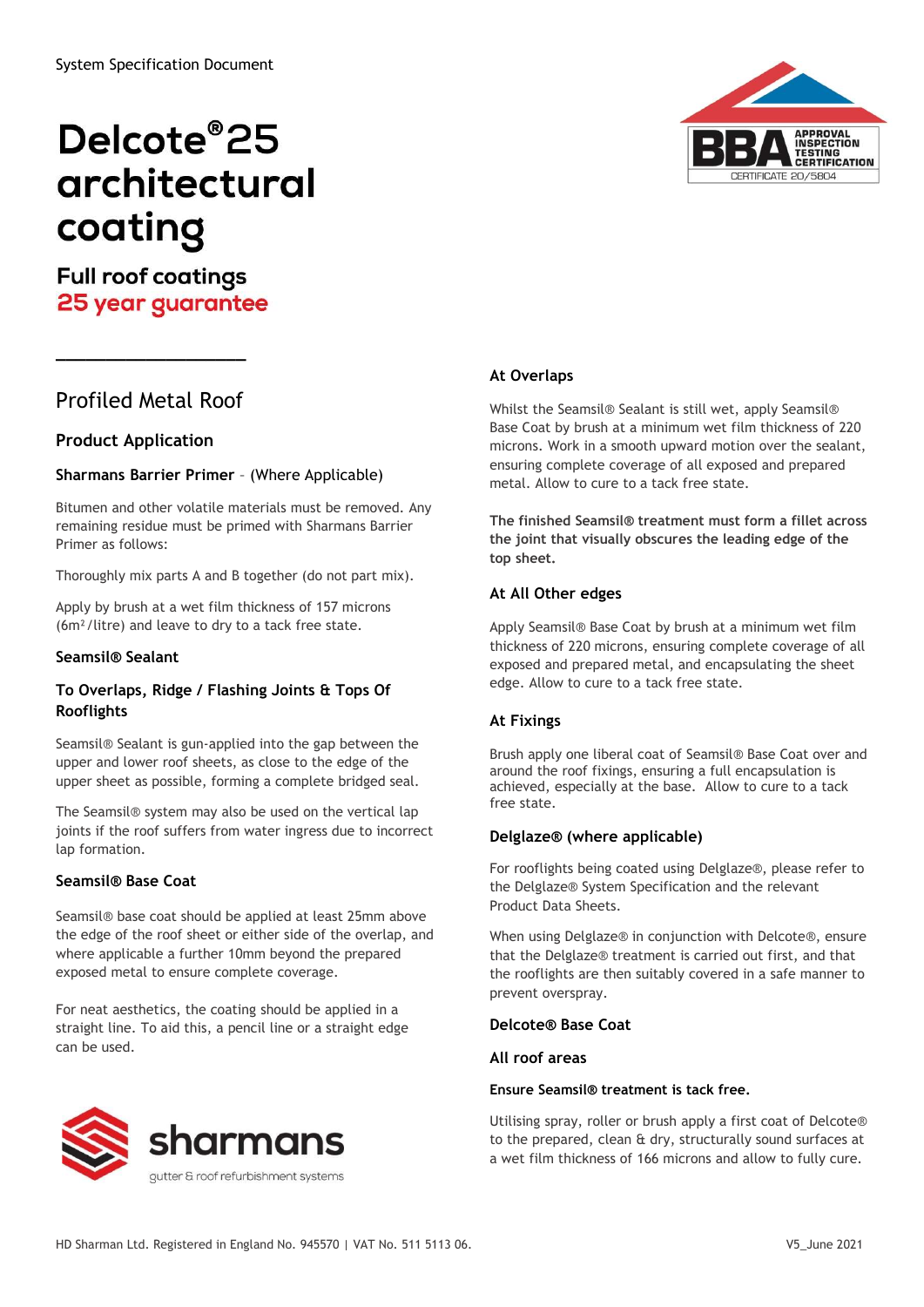# Delcote®25 architectural coating

**Full roof coatings** 25 year guarantee

# Profiled Metal Roof

 $\overline{\phantom{a}}$  . The contract of the contract of the contract of the contract of the contract of the contract of the contract of the contract of the contract of the contract of the contract of the contract of the contract of

## Product Application

### Sharmans Barrier Primer – (Where Applicable)

Bitumen and other volatile materials must be removed. Any remaining residue must be primed with Sharmans Barrier Primer as follows:

Thoroughly mix parts A and B together (do not part mix).

Apply by brush at a wet film thickness of 157 microns (6m²/litre) and leave to dry to a tack free state.

#### Seamsil® Sealant

#### To Overlaps, Ridge / Flashing Joints & Tops Of Rooflights

Seamsil® Sealant is gun-applied into the gap between the upper and lower roof sheets, as close to the edge of the upper sheet as possible, forming a complete bridged seal.

The Seamsil® system may also be used on the vertical lap joints if the roof suffers from water ingress due to incorrect lap formation.

#### Seamsil® Base Coat

Seamsil® base coat should be applied at least 25mm above the edge of the roof sheet or either side of the overlap, and where applicable a further 10mm beyond the prepared exposed metal to ensure complete coverage.

For neat aesthetics, the coating should be applied in a straight line. To aid this, a pencil line or a straight edge can be used.





### At Overlaps

Whilst the Seamsil® Sealant is still wet, apply Seamsil® Base Coat by brush at a minimum wet film thickness of 220 microns. Work in a smooth upward motion over the sealant, ensuring complete coverage of all exposed and prepared metal. Allow to cure to a tack free state.

The finished Seamsil® treatment must form a fillet across the joint that visually obscures the leading edge of the top sheet.

#### At All Other edges

Apply Seamsil® Base Coat by brush at a minimum wet film thickness of 220 microns, ensuring complete coverage of all exposed and prepared metal, and encapsulating the sheet edge. Allow to cure to a tack free state.

#### At Fixings

Brush apply one liberal coat of Seamsil® Base Coat over and around the roof fixings, ensuring a full encapsulation is achieved, especially at the base. Allow to cure to a tack free state.

#### Delglaze® (where applicable)

For rooflights being coated using Delglaze®, please refer to the Delglaze® System Specification and the relevant Product Data Sheets.

When using Delglaze® in conjunction with Delcote®, ensure that the Delglaze® treatment is carried out first, and that the rooflights are then suitably covered in a safe manner to prevent overspray.

#### Delcote® Base Coat

#### All roof areas

#### Ensure Seamsil® treatment is tack free.

Utilising spray, roller or brush apply a first coat of Delcote® to the prepared, clean & dry, structurally sound surfaces at a wet film thickness of 166 microns and allow to fully cure.